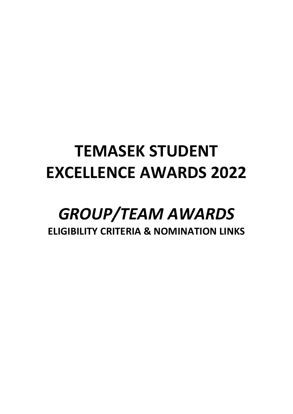# **TEMASEK STUDENT EXCELLENCE AWARDS 2022**

## *GROUP/TEAM AWARDS* **ELIGIBILITY CRITERIA & NOMINATION LINKS**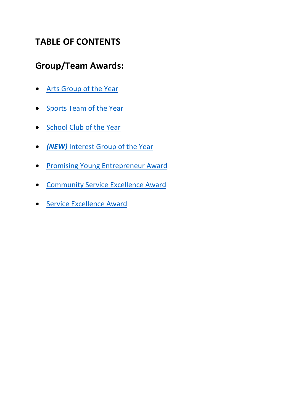## **TABLE OF CONTENTS**

### **Group/Team Awards:**

- [Arts Group of the Year](#page-2-0)
- [Sports Team of the Year](#page-2-1)
- [School Club of the Year](#page-2-2)
- *(NEW)* [Interest Group of the Year](#page-3-0)
- [Promising Young Entrepreneur Award](#page-4-0)
- [Community Service Excellence Award](#page-4-1)
- [Service Excellence Award](#page-5-0)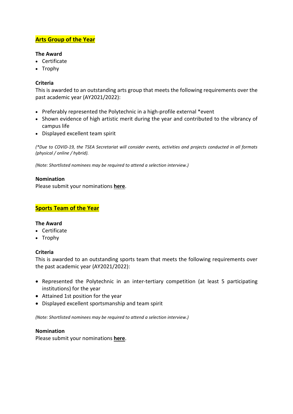#### <span id="page-2-0"></span>**Arts Group of the Year**

#### **The Award**

- Certificate
- Trophy

#### **Criteria**

This is awarded to an outstanding arts group that meets the following requirements over the past academic year (AY2021/2022):

- Preferably represented the Polytechnic in a high-profile external \*event
- Shown evidence of high artistic merit during the year and contributed to the vibrancy of campus life
- Displayed excellent team spirit

*(\*Due to COVID-19, the TSEA Secretariat will consider events, activities and projects conducted in all formats (physical / online / hybrid).*

*(Note: Shortlisted nominees may be required to attend a selection interview.)* 

#### **Nomination**

Please submit your nominations **[here](https://tinyurl.com/TSEA2022GroupAwards)**.

#### <span id="page-2-1"></span>**Sports Team of the Year**

#### **The Award**

- Certificate
- Trophy

#### **Criteria**

This is awarded to an outstanding sports team that meets the following requirements over the past academic year (AY2021/2022):

- Represented the Polytechnic in an inter-tertiary competition (at least 5 participating institutions) for the year
- Attained 1st position for the year
- Displayed excellent sportsmanship and team spirit

*(Note: Shortlisted nominees may be required to attend a selection interview.)* 

#### **Nomination**

<span id="page-2-2"></span>Please submit your nominations **[here](https://tinyurl.com/TSEA2022GroupAwards)**.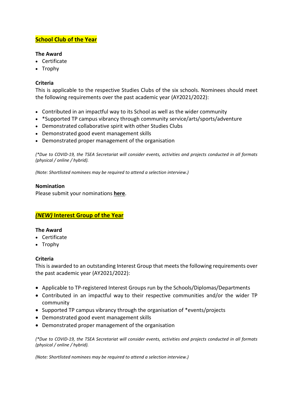#### **School Club of the Year**

#### **The Award**

- Certificate
- Trophy

#### **Criteria**

This is applicable to the respective Studies Clubs of the six schools. Nominees should meet the following requirements over the past academic year (AY2021/2022):

- Contributed in an impactful way to its School as well as the wider community
- \*Supported TP campus vibrancy through community service/arts/sports/adventure
- Demonstrated collaborative spirit with other Studies Clubs
- Demonstrated good event management skills
- Demonstrated proper management of the organisation

*(\*Due to COVID-19, the TSEA Secretariat will consider events, activities and projects conducted in all formats (physical / online / hybrid).*

*(Note: Shortlisted nominees may be required to attend a selection interview.)* 

#### **Nomination**

Please submit your nominations **[here](https://tinyurl.com/TSEA2022GroupAwards)**.

#### <span id="page-3-0"></span>*(NEW)* **Interest Group of the Year**

#### **The Award**

- Certificate
- Trophy

#### **Criteria**

This is awarded to an outstanding Interest Group that meets the following requirements over the past academic year (AY2021/2022):

- Applicable to TP-registered Interest Groups run by the Schools/Diplomas/Departments
- Contributed in an impactful way to their respective communities and/or the wider TP community
- Supported TP campus vibrancy through the organisation of \*events/projects
- Demonstrated good event management skills
- Demonstrated proper management of the organisation

*(\*Due to COVID-19, the TSEA Secretariat will consider events, activities and projects conducted in all formats (physical / online / hybrid).*

*(Note: Shortlisted nominees may be required to attend a selection interview.)*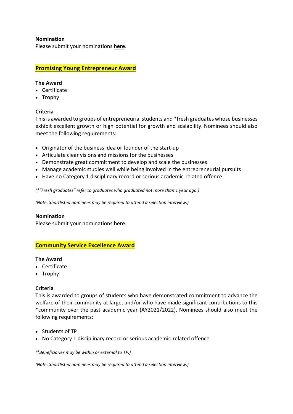#### **Nomination**

Please submit your nominations **[here](https://tinyurl.com/TSEA2022GroupAwards)**.

#### <span id="page-4-0"></span>**Promising Young Entrepreneur Award**

#### **The Award**

- Certificate
- Trophy

#### **Criteria**

This is awarded to groups of entrepreneurial students and \*fresh graduates whose businesses exhibit excellent growth or high potential for growth and scalability. Nominees should also meet the following requirements:

- Originator of the business idea or founder of the start-up
- Articulate clear visions and missions for the businesses
- Demonstrate great commitment to develop and scale the businesses
- Manage academic studies well while being involved in the entrepreneurial pursuits
- Have no Category 1 disciplinary record or serious academic-related offence

*(\*"Fresh graduates" refer to graduates who graduated not more than 1 year ago.)*

*(Note: Shortlisted nominees may be required to attend a selection interview.)* 

#### **Nomination**

Please submit your nominations **[here](https://tinyurl.com/TSEA2022GroupAwards)**.

#### <span id="page-4-1"></span>**Community Service Excellence Award**

#### **The Award**

- Certificate
- Trophy

#### **Criteria**

This is awarded to groups of students who have demonstrated commitment to advance the welfare of their community at large, and/or who have made significant contributions to this \*community over the past academic year (AY2021/2022). Nominees should also meet the following requirements:

- Students of TP
- No Category 1 disciplinary record or serious academic-related offence

*(\*Beneficiaries may be within or external to TP.)* 

*(Note: Shortlisted nominees may be required to attend a selection interview.)*